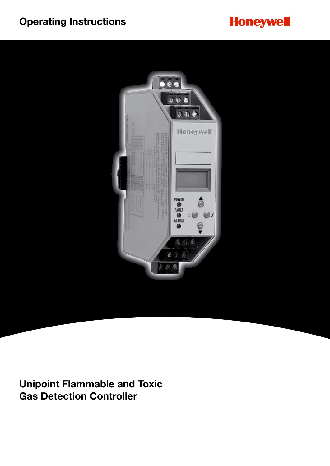# **Operating Instructions**





**Unipoint Flammable and Toxic Gas Detection Controller**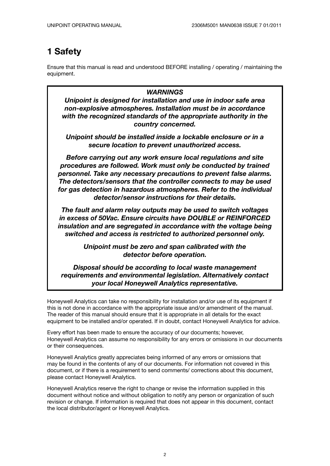### **1 Safety**

Ensure that this manual is read and understood BEFORE installing / operating / maintaining the equipment.

#### *WARNINGS*

*Unipoint is designed for installation and use in indoor safe area non-explosive atmospheres. Installation must be in accordance with the recognized standards of the appropriate authority in the country concerned.*

*Unipoint should be installed inside a lockable enclosure or in a secure location to prevent unauthorized access.*

*Before carrying out any work ensure local regulations and site procedures are followed. Work must only be conducted by trained personnel. Take any necessary precautions to prevent false alarms. The detectors/sensors that the controller connects to may be used for gas detection in hazardous atmospheres. Refer to the individual detector/sensor instructions for their details.*

*The fault and alarm relay outputs may be used to switch voltages in excess of 50Vac. Ensure circuits have DOUBLE or REINFORCED insulation and are segregated in accordance with the voltage being switched and access is restricted to authorized personnel only.*

> *Unipoint must be zero and span calibrated with the detector before operation.*

*Disposal should be according to local waste management requirements and environmental legislation. Alternatively contact your local Honeywell Analytics representative.*

Honeywell Analytics can take no responsibility for installation and/or use of its equipment if this is not done in accordance with the appropriate issue and/or amendment of the manual. The reader of this manual should ensure that it is appropriate in all details for the exact equipment to be installed and/or operated. If in doubt, contact Honeywell Analytics for advice.

Every effort has been made to ensure the accuracy of our documents; however, Honeywell Analytics can assume no responsibility for any errors or omissions in our documents or their consequences.

Honeywell Analytics greatly appreciates being informed of any errors or omissions that may be found in the contents of any of our documents. For information not covered in this document, or if there is a requirement to send comments/ corrections about this document, please contact Honeywell Analytics.

Honeywell Analytics reserve the right to change or revise the information supplied in this document without notice and without obligation to notify any person or organization of such revision or change. If information is required that does not appear in this document, contact the local distributor/agent or Honeywell Analytics.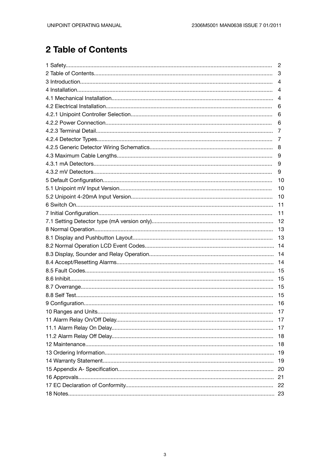# 2 Table of Contents

| 2   |
|-----|
| 3   |
| 4   |
| 4   |
| 4   |
| 6   |
| 6   |
| 6   |
| 7   |
| 7   |
|     |
| 9   |
| 9   |
| 9   |
| 10  |
| 10  |
| 10  |
| 11  |
| 11  |
| 12  |
| -13 |
| 13  |
| 14  |
| -14 |
| 14  |
|     |
| 15  |
| 15  |
| 15  |
| 16  |
| 17  |
| 17  |
| 17  |
| 18  |
| 18  |
| 19  |
| 19  |
| 20  |
| 21  |
|     |
| 22  |
|     |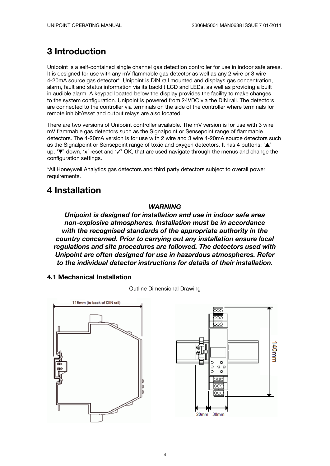## **3 Introduction**

Unipoint is a self-contained single channel gas detection controller for use in indoor safe areas. It is designed for use with any mV flammable gas detector as well as any 2 wire or 3 wire 4-20mA source gas detector\*. Unipoint is DIN rail mounted and displays gas concentration, alarm, fault and status information via its backlit LCD and LEDs, as well as providing a built in audible alarm. A keypad located below the display provides the facility to make changes to the system configuration. Unipoint is powered from 24VDC via the DIN rail. The detectors are connected to the controller via terminals on the side of the controller where terminals for remote inhibit/reset and output relays are also located.

There are two versions of Unipoint controller available. The mV version is for use with 3 wire mV flammable gas detectors such as the Signalpoint or Sensepoint range of flammable detectors. The 4-20mA version is for use with 2 wire and 3 wire 4-20mA source detectors such as the Signalpoint or Sensepoint range of toxic and oxygen detectors. It has 4 buttons:  $\triangle$ up, ' $\blacktriangledown$ ' down, 'x' reset and ' $\blacktriangledown$ ' OK, that are used navigate through the menus and change the configuration settings.

\*All Honeywell Analytics gas detectors and third party detectors subject to overall power requirements.

### **4 Installation**

#### *WARNING*

*Unipoint is designed for installation and use in indoor safe area non-explosive atmospheres. Installation must be in accordance with the recognised standards of the appropriate authority in the country concerned. Prior to carrying out any installation ensure local regulations and site procedures are followed. The detectors used with Unipoint are often designed for use in hazardous atmospheres. Refer to the individual detector instructions for details of their installation.*

#### **4.1 Mechanical Installation**

Outline Dimensional Drawing



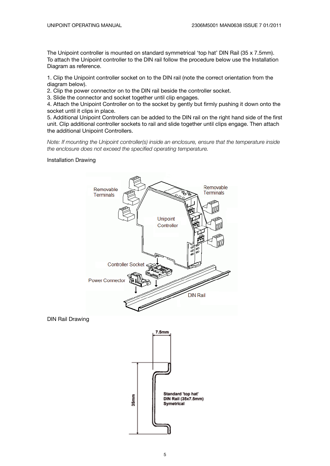The Unipoint controller is mounted on standard symmetrical 'top hat' DIN Rail (35 x 7.5mm). To attach the Unipoint controller to the DIN rail follow the procedure below use the Installation Diagram as reference.

1. Clip the Unipoint controller socket on to the DIN rail (note the correct orientation from the diagram below).

2. Clip the power connector on to the DIN rail beside the controller socket.

3. Slide the connector and socket together until clip engages.

4. Attach the Unipoint Controller on to the socket by gently but firmly pushing it down onto the socket until it clips in place.

5. Additional Unipoint Controllers can be added to the DIN rail on the right hand side of the first unit. Clip additional controller sockets to rail and slide together until clips engage. Then attach the additional Unipoint Controllers.

*Note: If mounting the Unipoint controller(s) inside an enclosure, ensure that the temperature inside the enclosure does not exceed the specified operating temperature.*

#### Installation Drawing



DIN Rail Drawing

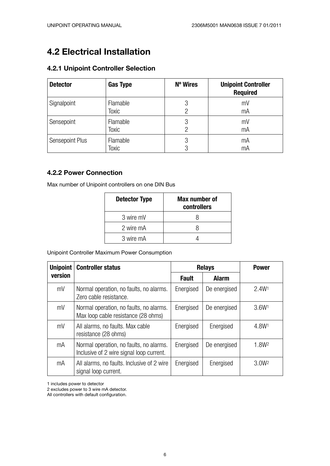## **4.2 Electrical Installation**

### **4.2.1 Unipoint Controller Selection**

| <b>Detector</b> | <b>Gas Type</b> | N° Wires       | <b>Unipoint Controller</b><br><b>Required</b> |
|-----------------|-----------------|----------------|-----------------------------------------------|
| Signalpoint     | Flamable        | 3              | mV                                            |
|                 | Toxic           | $\overline{2}$ | mA                                            |
| Sensepoint      | Flamable        | 3              | mV                                            |
|                 | <b>Toxic</b>    | 2              | mA                                            |
| Sensepoint Plus | Flamable        | 3              | mA                                            |
|                 | <b>Toxic</b>    | 3              | mA                                            |

### **4.2.2 Power Connection**

Max number of Unipoint controllers on one DIN Bus

| <b>Detector Type</b> | Max number of<br>controllers |
|----------------------|------------------------------|
| 3 wire mV            | x                            |
| 2 wire mA            | x                            |
| 3 wire mA            |                              |

Unipoint Controller Maximum Power Consumption

| <b>Unipoint</b> | <b>Controller status</b>                                                            | <b>Relays</b> | <b>Power</b> |                   |
|-----------------|-------------------------------------------------------------------------------------|---------------|--------------|-------------------|
| version         |                                                                                     | <b>Fault</b>  | <b>Alarm</b> |                   |
| mV              | Normal operation, no faults, no alarms.<br>Zero cable resistance.                   | Energised     | De energised | 2.4W <sup>1</sup> |
| mV              | Normal operation, no faults, no alarms.<br>Max loop cable resistance (28 ohms)      | Energised     | De energised | 3.6W <sup>1</sup> |
| mV              | All alarms, no faults. Max cable<br>resistance (28 ohms)                            | Energised     | Energised    | 4.8W <sup>1</sup> |
| mA              | Normal operation, no faults, no alarms.<br>Inclusive of 2 wire signal loop current. | Energised     | De energised | 1.8W <sup>2</sup> |
| mA              | All alarms, no faults. Inclusive of 2 wire<br>signal loop current.                  | Energised     | Energised    | 3.0W <sup>2</sup> |

1 includes power to detector

2 excludes power to 3 wire mA detector.

All controllers with default configuration.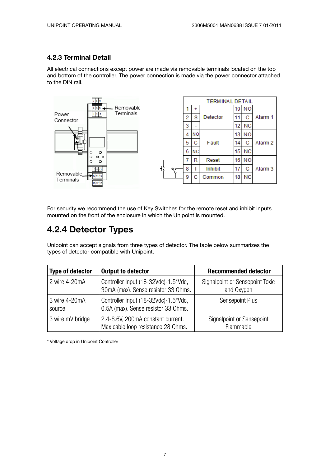### **4.2.3 Terminal Detail**

All electrical connections except power are made via removable terminals located on the top and bottom of the controller. The power connection is made via the power connector attached to the DIN rail.



For security we recommend the use of Key Switches for the remote reset and inhibit inputs mounted on the front of the enclosure in which the Unipoint is mounted.

### **4.2.4 Detector Types**

Unipoint can accept signals from three types of detector. The table below summarizes the types of detector compatible with Unipoint.

| <b>Type of detector</b> | <b>Output to detector</b>                                                   | <b>Recommended detector</b>                   |
|-------------------------|-----------------------------------------------------------------------------|-----------------------------------------------|
| 2 wire 4-20mA           | Controller Input (18-32Vdc)-1.5*Vdc,<br>30mA (max). Sense resistor 33 Ohms. | Signalpoint or Sensepoint Toxic<br>and Oxygen |
| 3 wire 4-20mA<br>source | Controller Input (18-32Vdc)-1.5*Vdc,<br>0.5A (max). Sense resistor 33 Ohms. | Sensepoint Plus                               |
| 3 wire mV bridge        | 2.4-8.6V, 200mA constant current.<br>Max cable loop resistance 28 Ohms.     | Signalpoint or Sensepoint<br>Flammable        |

\* Voltage drop in Unipoint Controller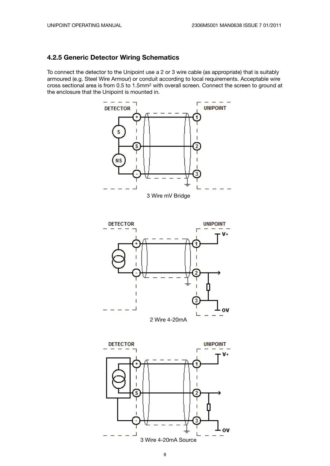#### **4.2.5 Generic Detector Wiring Schematics**

To connect the detector to the Unipoint use a 2 or 3 wire cable (as appropriate) that is suitably armoured (e.g. Steel Wire Armour) or conduit according to local requirements. Acceptable wire cross sectional area is from 0.5 to 1.5mm2 with overall screen. Connect the screen to ground at the enclosure that the Unipoint is mounted in.



8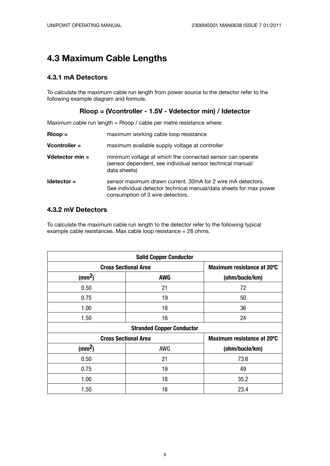### **4.3 Maximum Cable Lengths**

#### **4.3.1 mA Detectors**

To calculate the maximum cable run length from power source to the detector refer to the following example diagram and formula.

#### **Rloop = (Vcontroller - 1.5V - Vdetector min) / Idetector**

Maximum cable run length = Rloop / cable per metre resistance where:

| $Rloop =$         | maximum working cable loop resistance                                                                                                                                 |
|-------------------|-----------------------------------------------------------------------------------------------------------------------------------------------------------------------|
| $V$ controller =  | maximum available supply voltage at controller                                                                                                                        |
| Vdetector $min =$ | minimum voltage at which the connected sensor can operate<br>(sensor dependent, see individual sensor technical manual/<br>data sheets)                               |
| $ldetector =$     | sensor maximum drawn current. 30mA for 2 wire mA detectors.<br>See individual detector technical manual/data sheets for max power<br>consumption of 3 wire detectors. |

### **4.3.2 mV Detectors**

To calculate the maximum cable run length to the detector refer to the following typical example cable resistances. Max cable loop resistance = 28 ohms.

| <b>Solid Copper Conductor</b> |                                  |                            |  |  |  |  |  |
|-------------------------------|----------------------------------|----------------------------|--|--|--|--|--|
|                               | <b>Cross Sectional Area</b>      |                            |  |  |  |  |  |
| (mm <sup>2</sup> )            | <b>AWG</b>                       | (ohm/bucle/km)             |  |  |  |  |  |
| 0.50                          | 21                               | 72                         |  |  |  |  |  |
| 0.75                          | 19                               | 50                         |  |  |  |  |  |
| 1.00                          | 18                               | 36                         |  |  |  |  |  |
| 1.50                          | 16                               | 24                         |  |  |  |  |  |
|                               | <b>Stranded Copper Conductor</b> |                            |  |  |  |  |  |
|                               | <b>Cross Sectional Area</b>      | Maximum resistance at 20°C |  |  |  |  |  |
| (mm <sup>2</sup> )            | <b>AWG</b>                       | (ohm/bucle/km)             |  |  |  |  |  |
| 0.50                          | 21                               | 73.6                       |  |  |  |  |  |
| 0.75                          | 19                               | 49                         |  |  |  |  |  |
| 1.00                          | 18                               | 35.2                       |  |  |  |  |  |
| 1.50                          | 16                               | 23.4                       |  |  |  |  |  |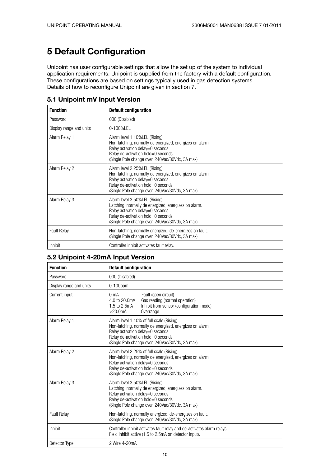## **5 Default Configuration**

Unipoint has user configurable settings that allow the set up of the system to individual application requirements. Unipoint is supplied from the factory with a default configuration. These configurations are based on settings typically used in gas detection systems. Details of how to reconfigure Unipoint are given in section 7.

| <b>Function</b>         | <b>Default configuration</b>                                                                                                                                                                                            |  |
|-------------------------|-------------------------------------------------------------------------------------------------------------------------------------------------------------------------------------------------------------------------|--|
| Password                | 000 (Disabled)                                                                                                                                                                                                          |  |
| Display range and units | 0-100%LEL                                                                                                                                                                                                               |  |
| Alarm Relay 1           | Alarm level 1 10% LEL (Rising)<br>Non-latching, normally de energized, energizes on alarm.<br>Relay activation delay=0 seconds<br>Relay de-activation hold=0 seconds<br>(Single Pole change over, 240Vac/30Vdc, 3A max) |  |
| Alarm Relay 2           | Alarm level 2 25% LEL (Rising)<br>Non-latching, normally de energized, energizes on alarm.<br>Relay activation delay=0 seconds<br>Relay de-activation hold=0 seconds<br>(Single Pole change over, 240Vac/30Vdc, 3A max) |  |
| Alarm Relay 3           | Alarm level 3 50%LEL (Rising)<br>Latching, normally de energized, energizes on alarm.<br>Relay activation delay=0 seconds<br>Relay de-activation hold=0 seconds<br>(Single Pole change over, 240Vac/30Vdc, 3A max)      |  |
| <b>Fault Relay</b>      | Non-latching, normally energized, de-energizes on fault.<br>(Single Pole change over, 240Vac/30Vdc, 3A max)                                                                                                             |  |
| <b>Inhibit</b>          | Controller inhibit activates fault relay.                                                                                                                                                                               |  |

#### **5.1 Unipoint mV Input Version**

#### **5.2 Unipoint 4-20mA Input Version**

| <b>Function</b>         | <b>Default configuration</b>                                                                                                                                                                                                      |  |  |  |
|-------------------------|-----------------------------------------------------------------------------------------------------------------------------------------------------------------------------------------------------------------------------------|--|--|--|
| Password                | 000 (Disabled)                                                                                                                                                                                                                    |  |  |  |
| Display range and units | $0-100$ ppm                                                                                                                                                                                                                       |  |  |  |
| Current input           | 0 <sub>m</sub> A<br>Fault (open circuit)<br>4.0 to 20.0mA<br>Gas reading (normal operation)<br>Inhibit from sensor (configuration mode)<br>1.5 to 2.5mA<br>>20.0 <sub>m</sub> A<br>Overrange                                      |  |  |  |
| Alarm Relay 1           | Alarm level 1 10% of full scale (Rising)<br>Non-latching, normally de energized, energizes on alarm.<br>Relay activation delay=0 seconds<br>Relay de-activation hold=0 seconds<br>(Single Pole change over, 240Vac/30Vdc, 3A max) |  |  |  |
| Alarm Relay 2           | Alarm level 2 25% of full scale (Rising)<br>Non-latching, normally de energized, energizes on alarm.<br>Relay activation delay=0 seconds<br>Relay de-activation hold=0 seconds<br>(Single Pole change over, 240Vac/30Vdc, 3A max) |  |  |  |
| Alarm Relay 3           | Alarm level 3 50%LEL (Rising)<br>Latching, normally de energized, energizes on alarm.<br>Relay activation delay=0 seconds<br>Relay de-activation hold=0 seconds<br>(Single Pole change over, 240Vac/30Vdc, 3A max)                |  |  |  |
| <b>Fault Relay</b>      | Non-latching, normally energized, de-energizes on fault.<br>(Single Pole change over, 240Vac/30Vdc, 3A max)                                                                                                                       |  |  |  |
| Inhibit                 | Controller inhibit activates fault relay and de-activates alarm relays.<br>Field inhibit active (1.5 to 2.5mA on detector input).                                                                                                 |  |  |  |
| Detector Type           | 2 Wire 4-20mA                                                                                                                                                                                                                     |  |  |  |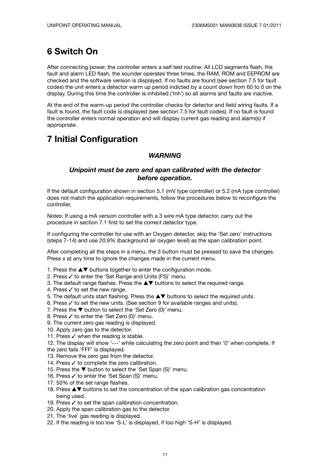## **6 Switch On**

After connecting power, the controller enters a self test routine: All LCD segments flash, the fault and alarm LED flash, the sounder operates three times, the RAM, ROM and EEPROM are checked and the software version is displayed. If no faults are found (see section 7.5 for fault codes) the unit enters a detector warm up period indicted by a count down from 60 to 0 on the display. During this time the controller is inhibited ('Inh') so all alarms and faults are inactive.

At the end of the warm-up period the controller checks for detector and field wiring faults. If a fault is found, the fault code is displayed (see section 7.5 for fault codes). If no fault is found the controller enters normal operation and will display current gas reading and alarm(s) if appropriate.

## **7 Initial Configuration**

### *WARNING*

#### *Unipoint must be zero and span calibrated with the detector before operation.*

If the default configuration shown in section 5.1 (mV type controller) or 5.2 (mA type controller) does not match the application requirements, follow the procedures below to reconfigure the controller.

Notes: If using a mA version controller with a 3 wire mA type detector, carry out the procedure in section 7.1 first to set the correct detector type.

If configuring the controller for use with an Oxygen detector, skip the 'Set zero' instructions (steps 7-14) and use 20.9% (background air oxygen level) as the span calibration point.

After completing all the steps in a menu, the 3 button must be pressed to save the changes. Press x at any time to ignore the changes made in the current menu.

- 1. Press the  $\blacktriangle\blacktriangledown$  buttons together to enter the configuration mode.
- 2. Press  $\checkmark$  to enter the 'Set Range and Units (FS)' menu.
- 3. The default range flashes. Press the  $\blacktriangle\blacktriangledown$  buttons to select the required range.
- 4. Press  $\checkmark$  to set the new range.
- 5. The default units start flashing. Press the  $\blacktriangle \blacktriangledown$  buttons to select the required units.
- 6. Press  $\checkmark$  to set the new units. (See section 9 for available ranges and units).
- 7. Press the  $\blacktriangledown$  button to select the 'Set Zero (0)' menu.
- 8. Press  $\checkmark$  to enter the 'Set Zero (0)' menu.
- 9. The current zero gas reading is displayed.
- 10. Apply zero gas to the detector.
- 11. Press  $\checkmark$  when the reading is stable.
- 12. The display will show '---' while calculating the zero point and then '0' when complete. If
- the zero fails 'FFF' is displayed.
- 13. Remove the zero gas from the detector.
- 14. Press  $\checkmark$  to complete the zero calibration.
- 15. Press the  $\nabla$  button to select the 'Set Span (S)' menu.
- 16. Press √ to enter the 'Set Span (S)' menu.
- 17. 50% of the set range flashes.
- 18. Press  $\blacktriangle \blacktriangledown$  buttons to set the concentration of the span calibration gas concentration being used.
- 19. Press  $\checkmark$  to set the span calibration concentration.
- 20. Apply the span calibration gas to the detector.
- 21. The 'live' gas reading is displayed.
- 22. If the reading is too low 'S-L' is displayed, if too high 'S-H' is displayed.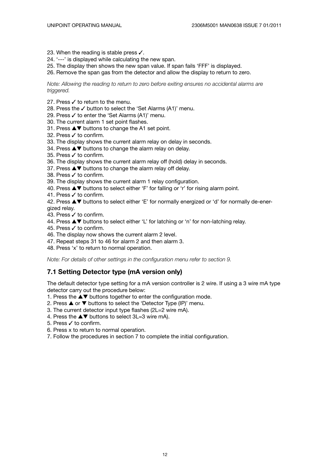- 23. When the reading is stable press  $\checkmark$ .
- 24. '---' is displayed while calculating the new span.
- 25. The display then shows the new span value. If span fails 'FFF' is displayed.
- 26. Remove the span gas from the detector and allow the display to return to zero.

*Note: Allowing the reading to return to zero before exiting ensures no accidental alarms are triggered.*

- 27. Press  $\checkmark$  to return to the menu.
- 28. Press the  $\checkmark$  button to select the 'Set Alarms (A1)' menu.
- 29. Press  $\checkmark$  to enter the 'Set Alarms (A1)' menu.
- 30. The current alarm 1 set point flashes.
- 31. Press  $\blacktriangle\blacktriangledown$  buttons to change the A1 set point.
- 32. Press  $\checkmark$  to confirm.
- 33. The display shows the current alarm relay on delay in seconds.
- 34. Press  $\triangle \blacktriangledown$  buttons to change the alarm relay on delay.
- 35. Press  $\checkmark$  to confirm.
- 36. The display shows the current alarm relay off (hold) delay in seconds.
- 37. Press  $\blacktriangle\blacktriangledown$  buttons to change the alarm relay off delay.
- 38. Press √ to confirm.
- 39. The display shows the current alarm 1 relay configuration.
- 40. Press  $\blacktriangle\blacktriangledown$  buttons to select either 'F' for falling or 'r' for rising alarm point.
- 41. Press  $\checkmark$  to confirm.
- 42. Press  $\blacktriangle\blacktriangledown$  buttons to select either 'E' for normally energized or 'd' for normally de-energized relay.
- 43. Press  $\checkmark$  to confirm.
- 44. Press  $\blacktriangle \blacktriangledown$  buttons to select either 'L' for latching or 'n' for non-latching relay.
- 45. Press  $\checkmark$  to confirm.
- 46. The display now shows the current alarm 2 level.
- 47. Repeat steps 31 to 46 for alarm 2 and then alarm 3.
- 48. Press 'x' to return to normal operation.

*Note: For details of other settings in the configuration menu refer to section 9.*

#### **7.1 Setting Detector type (mA version only)**

The default detector type setting for a mA version controller is 2 wire. If using a 3 wire mA type detector carry out the procedure below:

- 1. Press the  $\blacktriangle\blacktriangledown$  buttons together to enter the configuration mode.
- 2. Press  $\blacktriangle$  or  $\nabla$  buttons to select the 'Detector Type (IP)' menu.
- 3. The current detector input type flashes (2L=2 wire mA).
- 4. Press the  $\blacktriangle \blacktriangledown$  buttons to select 3L=3 wire mA).
- 5. Press  $\checkmark$  to confirm.
- 6. Press x to return to normal operation.
- 7. Follow the procedures in section 7 to complete the initial configuration.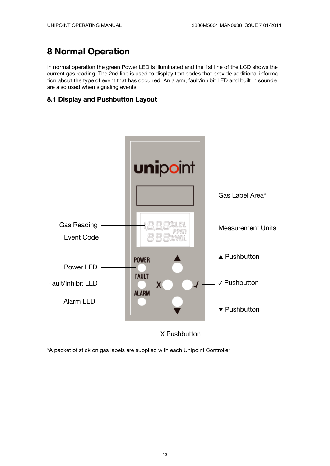## **8 Normal Operation**

In normal operation the green Power LED is illuminated and the 1st line of the LCD shows the current gas reading. The 2nd line is used to display text codes that provide additional information about the type of event that has occurred. An alarm, fault/inhibit LED and built in sounder are also used when signaling events.

#### **8.1 Display and Pushbutton Layout**



\*A packet of stick on gas labels are supplied with each Unipoint Controller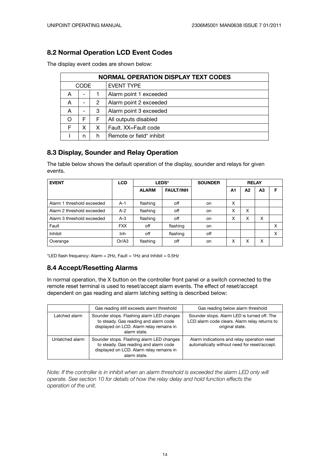### **8.2 Normal Operation LCD Event Codes**

The display event codes are shown below:

| <b>NORMAL OPERATION DISPLAY TEXT CODES</b> |             |   |                          |  |
|--------------------------------------------|-------------|---|--------------------------|--|
|                                            | <b>CODE</b> |   | <b>EVENT TYPE</b>        |  |
| А                                          | -           |   | Alarm point 1 exceeded   |  |
| Α                                          | -           | 2 | Alarm point 2 exceeded   |  |
| Α                                          | -           | 3 | Alarm point 3 exceeded   |  |
| ∩                                          | F           | F | All outputs disabled     |  |
| F                                          | Χ           | х | Fault. XX=Fault code     |  |
|                                            | n           | h | Remote or field* inhibit |  |

#### **8.3 Display, Sounder and Relay Operation**

The table below shows the default operation of the display, sounder and relays for given events.

| <b>EVENT</b>               | <b>LCD</b> | <b>LEDS*</b> |                  |     |                | <b>SOUNDER</b> | <b>RELAY</b>   |   |  |  |
|----------------------------|------------|--------------|------------------|-----|----------------|----------------|----------------|---|--|--|
|                            |            | <b>ALARM</b> | <b>FAULT/INH</b> |     | A <sub>1</sub> | A2             | A <sub>3</sub> | F |  |  |
| Alarm 1 threshold exceeded | $A-1$      | flashing     | off              | on. | x              |                |                |   |  |  |
| Alarm 2 threshold exceeded | $A-2$      | flashing     | off              | on  | x              | X              |                |   |  |  |
| Alarm 3 threshold exceeded | $A-3$      | flashing     | off              | on  | X              | X              | X              |   |  |  |
| Fault                      | <b>FXX</b> | off          | flashing         | on  |                |                |                | Χ |  |  |
| Inhibit                    | Inh        | off          | flashing         | off |                |                |                | X |  |  |
| Overange                   | Or/43      | flashing     | off              | on. | x              | X              | X              |   |  |  |

\*LED flash frequency: Alarm =  $2Hz$ , Fault =  $1Hz$  and Inhibit =  $0.5Hz$ 

#### **8.4 Accept/Resetting Alarms**

In normal operation, the X button on the controller front panel or a switch connected to the remote reset terminal is used to reset/accept alarm events. The effect of reset/accept dependent on gas reading and alarm latching setting is described below:

|                 | Gas reading still exceeds alarm threshold                                                                                                      | Gas reading below alarm threshold                                                                               |
|-----------------|------------------------------------------------------------------------------------------------------------------------------------------------|-----------------------------------------------------------------------------------------------------------------|
| Latched alarm   | Sounder stops. Flashing alarm LED changes<br>to steady. Gas reading and alarm code<br>displayed on LCD. Alarm relay remains in<br>alarm state. | Sounder stops. Alarm LED is turned off. The<br>LCD alarm code clears. Alarm relay returns to<br>original state. |
| Unlatched alarm | Sounder stops. Flashing alarm LED changes<br>to steady. Gas reading and alarm code<br>displayed on LCD. Alarm relay remains in<br>alarm state. | Alarm indications and relay operation reset<br>automatically without need for reset/accept.                     |

*Note: If the controller is in inhibit when an alarm threshold is exceeded the alarm LED only will operate. See section 10 for details of how the relay delay and hold function effects the operation of the unit.*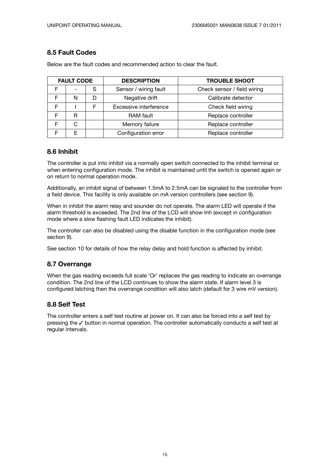#### **8.5 Fault Codes**

| <b>FAULT CODE</b> |                          |   | <b>DESCRIPTION</b>                           | <b>TROUBLE SHOOT</b>        |  |
|-------------------|--------------------------|---|----------------------------------------------|-----------------------------|--|
|                   | $\overline{\phantom{0}}$ | S | Sensor / wiring fault                        | Check sensor / field wiring |  |
| F                 | N                        | D | Negative drift<br>Calibrate detector         |                             |  |
| F                 |                          | F | Excessive interference<br>Check field wiring |                             |  |
| F                 | R                        |   | <b>RAM</b> fault                             | Replace controller          |  |
| F                 | C                        |   | Memory failure<br>Replace controller         |                             |  |
| F                 | F                        |   | Configuration error<br>Replace controller    |                             |  |

Below are the fault codes and recommended action to clear the fault.

#### **8.6 Inhibit**

The controller is put into inhibit via a normally open switch connected to the inhibit terminal or when entering configuration mode. The inhibit is maintained until the switch is opened again or on return to normal operation mode.

Additionally, an inhibit signal of between 1.5mA to 2.5mA can be signaled to the controller from a field device. This facility is only available on mA version controllers (see section 9).

When in inhibit the alarm relay and sounder do not operate. The alarm LED will operate if the alarm threshold is exceeded. The 2nd line of the LCD will show Inh (except in configuration mode where a slow flashing fault LED indicates the inhibit).

The controller can also be disabled using the disable function in the configuration mode (see section 9).

See section 10 for details of how the relay delay and hold function is affected by inhibit.

#### **8.7 Overrange**

When the gas reading exceeds full scale 'Or' replaces the gas reading to indicate an overrange condition. The 2nd line of the LCD continues to show the alarm state. If alarm level 3 is configured latching then the overrange condition will also latch (default for 3 wire mV version).

#### **8.8 Self Test**

The controller enters a self test routine at power on. It can also be forced into a self test by pressing the  $\checkmark$  button in normal operation. The controller automatically conducts a self test at regular intervals.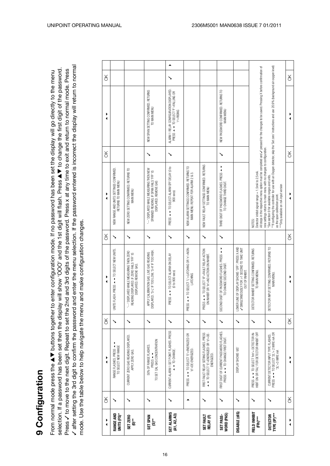3 after setting the 3rd digit to confirm the password and enter the menu selection. If the password entered is incorrect the display will return to normal / after setting the 3rd digit to confirm the password and enter the menu selection. If the password entered is incorrect the display will return to normal selection. If a password has been set then the display will show 'OOO' and the 1st digit will flash. Press AT to change the first digit of the password. selection. If a password has been set then the display will show 'OOO' and the 1st digit will flash. Press A V to change the first digit of the password. Press V to move to the next digit. Repeat to set the 2nd and 3rd digits of the password. Press x at any time to exit and return to normal mode. Press 3 to move to the next digit. Repeat to set the 2nd and 3rd digits of the password. Press x at any time to exit and return to normal mode. Press From normal mode press the AT buttons together to enter configuration mode. If no password has been set the display will go directly to the menu From normal mode press the A V buttons together to enter configuration mode. If no password has been set the display will go directly to the menu mode. Use the table below to help navigate the menu and make configuration changes. mode. Use the table below to help navigate the menu and make configuration changes.

| ▶                                                             | $\frac{1}{2}$ | ▶<br>◀                                                                                                    | ă  | ▶                                                                                                                                            | ð  | ▶<br>◀                                                                                                                                                                                                                                                                      | $\aleph$ |                                                                                                  | ¥        |
|---------------------------------------------------------------|---------------|-----------------------------------------------------------------------------------------------------------|----|----------------------------------------------------------------------------------------------------------------------------------------------|----|-----------------------------------------------------------------------------------------------------------------------------------------------------------------------------------------------------------------------------------------------------------------------------|----------|--------------------------------------------------------------------------------------------------|----------|
| RANGE AND<br>UNITS (FS)*                                      |               | RANGE FLASHES. PRESS -<br>TO SELECT NEW RANGE                                                             |    | UNITS FLASH. PRESS $\sim$ TO SELECT NEW UNITS.                                                                                               |    | NEW RANGE AND UNITS SETTINGS CONFIRMED.<br>RETURNS TO MAIN MENU                                                                                                                                                                                                             |          |                                                                                                  |          |
| SET ZERO<br>*<br>©                                            |               | CURRENT ZERO GAS READING DISPLAYED.<br>APPLY ZERO GAS.                                                    | ↘  | "-- DISPLAYED WHILE MEASURING THEN ZERO<br>READING DISPLAYED. IF ZERO FAILS 'FFF' IS<br>DISPLAYED. REMOVE GAS.                               |    | NEW ZERO SETTING CONFIRMED. RETURNS TO<br>MAIN MENU                                                                                                                                                                                                                         |          |                                                                                                  |          |
| SET SPAN<br>$\mathbf{S}^*$                                    |               | TO SET CAL GAS CONCENTRATION<br>50% OF RANGE FLASHES.<br>PRESS $\rightarrow$                              |    | DISPLAYED. 'S-L' IF TOO LOW, 'S-H' IF TOO HIGH.<br>APPLY CALIBRATION GAS. LIVE GAS READING                                                   |    | --- DISPLAYED WHILE MEASURING THEN NEW<br>SPANNED READING. IF SPAN FAILS 'FFF' IS<br>DISPLAYED. REMOVE GAS                                                                                                                                                                  |          | NEW SPAN SETTING CONFIRMED. RETURNS<br>TO MAIN MENU                                              |          |
| <b>SET ALARMS</b><br>(A1, A2, A3)                             | ゝ             | CURRENT ALARM 1 SET POINT FLASHES. PRESS<br>$\rightarrow$ $\rightarrow$ TO CHANGE.                        | ↘  | TO SELECT ALARM ON DELAY<br>(0 to 900 sec)<br>PRESS $\rightarrow$                                                                            |    | PRESS ▲ ▼ TO SELECT ALARM OFF DELAY (0 to<br>900 secs)                                                                                                                                                                                                                      |          | ALARM 1 RELAY CONFIGURATION DISPLAYED.<br>PRESS ▲ V TO SELECT 'F'=FALLING OR<br><b>PLERISING</b> | ▲        |
|                                                               |               | PRESS < TO SELECT 'E' = ENERGIZED OR<br>$d' = DE - ENERG$ $(ZED)$ .                                       | ↘  | PRESS ▲ ▼ TO SELECT 'L'=LATCHING OR 'n'=NON-<br><b>LATCHING</b>                                                                              | ↘  | NEW ALARM SETTINGS CONFIRMED. RETURNS TO<br>MAIN MENU. REPEAT FOR ALARM 2 & 3.                                                                                                                                                                                              |          |                                                                                                  |          |
| <b>SET FAULT</b><br>RELAY (F)                                 |               | FIRST FAULT RELAY SETING FLASHES. PRESS<br>$\rightarrow$ TO SELECT 'E'=ENERGIZED OR 'd'=DE-<br>ENERGIZED. |    | SS $\rightarrow$ TO SELECT 'IF'=FAULT RELAY ACTION<br>ON INHIBIT OR 'In'=NO ACTION ON INHIBIT.<br>₽Ë                                         | ↘  | NEW FAULT RELAY SETTINGS CONFIRMED. RETURNS<br>TO MAIN MENU                                                                                                                                                                                                                 |          |                                                                                                  |          |
| WORD (PAS)<br>SET PASS-                                       |               | FIRST DIGIT OF CURRENT PASSWORD FLASHES.<br>PRESS ← TO CHANGE FIRST DIGIT.                                | ↘  | SECOND DIGIT OF PASSWORD FLASHES. PRESS ▲<br>TO CHANGE SECOND DIGIT.                                                                         | ↘  | THIRD DIGIT OF PASSWORD FLASHES. PRESS ▲<br>TO CHANGE THIRD DIGIT.                                                                                                                                                                                                          | ↘        | NEW PASSWORD CONFIRMED. RETURNS TO<br>MAIN MENU                                                  |          |
| DISABLE (dIS)                                                 |               | DISPLAY SHOWS 'dIS'                                                                                       |    | LOWER LINE OF DISPLAY SHOWS 'OFF'. PRESS X AND<br>/ SIMULTANEOUSLY FOR >1 SECOND TO TAKE UNIT<br>/ SIMULTANEOUSLY FOR >1 SECOND TO TAKE UNIT |    |                                                                                                                                                                                                                                                                             |          |                                                                                                  |          |
| FIELD INHIBIT<br>$(Fih)$ ***                                  |               | PRESS ▲ ▼ TO SELECT 'Inh'= DETECTOR IN-<br>HIBIT ON OR 'FAL' FOR DETECTOR INHIBIT OFF                     |    | DETECTOR INHIBIT SETTING CONFIRMED. RETURNS<br>TO MAIN MENU.                                                                                 |    | All steps in the respective menu option must be completed and v pressed for the changes to be saved. Pressing X before confirmation of<br>new settings returns to main menu with no changes to configuration.<br>Detector inhibit signal range = 1.5mA to 2.5mA.<br>NOTES:  |          |                                                                                                  |          |
| $\mathsf{TVPE}\left(\mathbb{P}\right)$ ***<br><b>DETECTOR</b> |               | PRESS ▲ ▼ TO SELECT '2L'= 2 WIRE mA OR<br>'3L'=3 WIRE mA<br>CURRENT DETECTOR INPUT TYPE FLASHES.          | ↘  | DETECTOR INPUT SETTING CONFIRMED. RETURNS TO<br>MAIN MENU.                                                                                   |    | **If configuring the controller for use with an Oxygen detector, skip the 'Set zero' instructions and use 20.9% (background air oxygen level)<br>*See section 9 for available ranges and units.<br>*** Only available on mA input version<br>as the span calibration point. |          |                                                                                                  |          |
| ▶<br>◀                                                        | δK            | $\frac{1}{4}$                                                                                             | δK |                                                                                                                                              | δK |                                                                                                                                                                                                                                                                             | X        |                                                                                                  | $\aleph$ |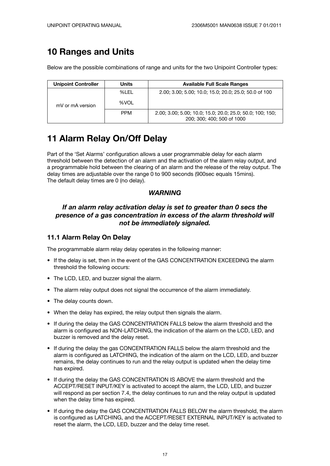### **10 Ranges and Units**

Below are the possible combinations of range and units for the two Unipoint Controller types:

| <b>Unipoint Controller</b> | Units      | <b>Available Full Scale Ranges</b>                                                      |
|----------------------------|------------|-----------------------------------------------------------------------------------------|
|                            | %LEL       | 2.00; 3.00; 5.00; 10.0; 15.0; 20.0; 25.0; 50.0 of 100                                   |
| mV or mA version           | %VOL       |                                                                                         |
|                            | <b>PPM</b> | 2.00; 3.00; 5.00; 10.0; 15.0; 20.0; 25.0; 50.0; 100; 150;<br>200; 300; 400; 500 of 1000 |

## **11 Alarm Relay On/Off Delay**

Part of the 'Set Alarms' configuration allows a user programmable delay for each alarm threshold between the detection of an alarm and the activation of the alarm relay output, and a programmable hold between the clearing of an alarm and the release of the relay output. The delay times are adjustable over the range 0 to 900 seconds (900sec equals 15mins). The default delay times are 0 (no delay).

#### *WARNING*

#### *If an alarm relay activation delay is set to greater than 0 secs the presence of a gas concentration in excess of the alarm threshold will not be immediately signaled.*

#### **11.1 Alarm Relay On Delay**

The programmable alarm relay delay operates in the following manner:

- If the delay is set, then in the event of the GAS CONCENTRATION EXCEEDING the alarm threshold the following occurs:
- The LCD, LED, and buzzer signal the alarm.
- The alarm relay output does not signal the occurrence of the alarm immediately.
- The delay counts down.
- When the delay has expired, the relay output then signals the alarm.
- If during the delay the GAS CONCENTRATION FALLS below the alarm threshold and the alarm is configured as NON-LATCHING, the indication of the alarm on the LCD, LED, and buzzer is removed and the delay reset.
- If during the delay the gas CONCENTRATION FALLS below the alarm threshold and the alarm is configured as LATCHING, the indication of the alarm on the LCD, LED, and buzzer remains, the delay continues to run and the relay output is updated when the delay time has expired.
- If during the delay the GAS CONCENTRATION IS ABOVE the alarm threshold and the ACCEPT/RESET INPUT/KEY is activated to accept the alarm, the LCD, LED, and buzzer will respond as per section 7.4, the delay continues to run and the relay output is updated when the delay time has expired.
- If during the delay the GAS CONCENTRATION FALLS BELOW the alarm threshold, the alarm is configured as LATCHING, and the ACCEPT/RESET EXTERNAL INPUT/KEY is activated to reset the alarm, the LCD, LED, buzzer and the delay time reset.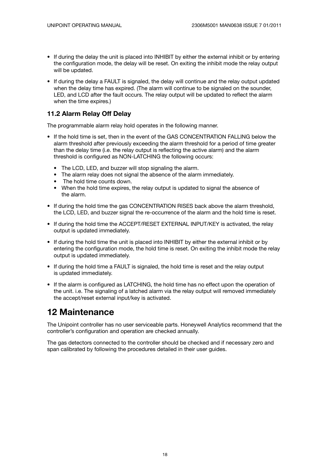- If during the delay the unit is placed into INHIBIT by either the external inhibit or by entering the configuration mode, the delay will be reset. On exiting the inhibit mode the relay output will be updated.
- If during the delay a FAULT is signaled, the delay will continue and the relay output updated when the delay time has expired. (The alarm will continue to be signaled on the sounder, LED, and LCD after the fault occurs. The relay output will be updated to reflect the alarm when the time expires.)

#### **11.2 Alarm Relay Off Delay**

The programmable alarm relay hold operates in the following manner.

- If the hold time is set, then in the event of the GAS CONCENTRATION FALLING below the alarm threshold after previously exceeding the alarm threshold for a period of time greater than the delay time (i.e. the relay output is reflecting the active alarm) and the alarm threshold is configured as NON-LATCHING the following occurs:
	- The LCD, LED, and buzzer will stop signaling the alarm.
	- The alarm relay does not signal the absence of the alarm immediately.
	- The hold time counts down.
	- When the hold time expires, the relay output is updated to signal the absence of the alarm.
- If during the hold time the gas CONCENTRATION RISES back above the alarm threshold, the LCD, LED, and buzzer signal the re-occurrence of the alarm and the hold time is reset.
- If during the hold time the ACCEPT/RESET EXTERNAL INPUT/KEY is activated, the relay output is updated immediately.
- If during the hold time the unit is placed into INHIBIT by either the external inhibit or by entering the configuration mode, the hold time is reset. On exiting the inhibit mode the relay output is updated immediately.
- If during the hold time a FAULT is signaled, the hold time is reset and the relay output is updated immediately.
- If the alarm is configured as LATCHING, the hold time has no effect upon the operation of the unit. i.e. The signaling of a latched alarm via the relay output will removed immediately the accept/reset external input/key is activated.

### **12 Maintenance**

The Unipoint controller has no user serviceable parts. Honeywell Analytics recommend that the controller's configuration and operation are checked annually.

The gas detectors connected to the controller should be checked and if necessary zero and span calibrated by following the procedures detailed in their user guides.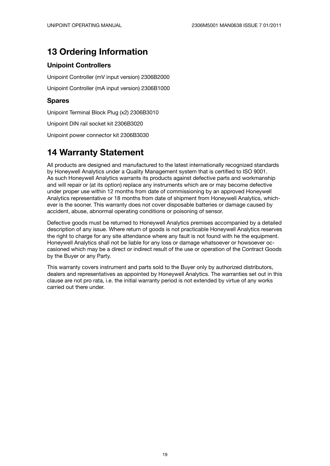## **13 Ordering Information**

#### **Unipoint Controllers**

Unipoint Controller (mV input version) 2306B2000

Unipoint Controller (mA input version) 2306B1000

#### **Spares**

Unipoint Terminal Block Plug (x2) 2306B3010

Unipoint DIN rail socket kit 2306B3020

Unipoint power connector kit 2306B3030

### **14 Warranty Statement**

All products are designed and manufactured to the latest internationally recognized standards by Honeywell Analytics under a Quality Management system that is certified to ISO 9001. As such Honeywell Analytics warrants its products against defective parts and workmanship and will repair or (at its option) replace any instruments which are or may become defective under proper use within 12 months from date of commissioning by an approved Honeywell Analytics representative or 18 months from date of shipment from Honeywell Analytics, whichever is the sooner. This warranty does not cover disposable batteries or damage caused by accident, abuse, abnormal operating conditions or poisoning of sensor.

Defective goods must be returned to Honeywell Analytics premises accompanied by a detailed description of any issue. Where return of goods is not practicable Honeywell Analytics reserves the right to charge for any site attendance where any fault is not found with he the equipment. Honeywell Analytics shall not be liable for any loss or damage whatsoever or howsoever occasioned which may be a direct or indirect result of the use or operation of the Contract Goods by the Buyer or any Party.

This warranty covers instrument and parts sold to the Buyer only by authorized distributors, dealers and representatives as appointed by Honeywell Analytics. The warranties set out in this clause are not pro rata, i.e. the initial warranty period is not extended by virtue of any works carried out there under.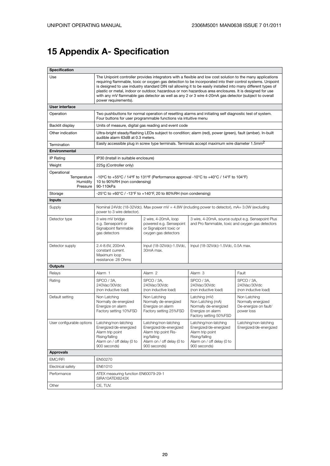# **15 Appendix A- Specification**

| Specification                                                                                                                                                                                                                                                                                   |                                                                                                                                                                                                                                                                                                                                                                                                                                                                                                                                                                                        |                                                                                                                                                                            |                                                                                                                                     |                                                                           |  |  |
|-------------------------------------------------------------------------------------------------------------------------------------------------------------------------------------------------------------------------------------------------------------------------------------------------|----------------------------------------------------------------------------------------------------------------------------------------------------------------------------------------------------------------------------------------------------------------------------------------------------------------------------------------------------------------------------------------------------------------------------------------------------------------------------------------------------------------------------------------------------------------------------------------|----------------------------------------------------------------------------------------------------------------------------------------------------------------------------|-------------------------------------------------------------------------------------------------------------------------------------|---------------------------------------------------------------------------|--|--|
| Use                                                                                                                                                                                                                                                                                             | The Unipoint controller provides integrators with a flexible and low cost solution to the many applications<br>requiring flammable, toxic or oxygen gas detection to be incorporated into their control systems. Unipoint<br>is designed to use industry standard DIN rail allowing it to be easily installed into many different types of<br>plastic or metal, indoor or outdoor, hazardous or non hazardous area enclosures. It is designed for use<br>with any mV flammable gas detector as well as any 2 or 3 wire 4-20mA gas detector (subject to overall<br>power requirements). |                                                                                                                                                                            |                                                                                                                                     |                                                                           |  |  |
| User interface                                                                                                                                                                                                                                                                                  |                                                                                                                                                                                                                                                                                                                                                                                                                                                                                                                                                                                        |                                                                                                                                                                            |                                                                                                                                     |                                                                           |  |  |
| Operation                                                                                                                                                                                                                                                                                       |                                                                                                                                                                                                                                                                                                                                                                                                                                                                                                                                                                                        | Two pushbuttons for normal operation of resetting alarms and initiating self diagnostic test of system.<br>Four buttons for user programmable functions via intuitive menu |                                                                                                                                     |                                                                           |  |  |
| Backlit display                                                                                                                                                                                                                                                                                 |                                                                                                                                                                                                                                                                                                                                                                                                                                                                                                                                                                                        | Units of measure, digital gas reading and event code                                                                                                                       |                                                                                                                                     |                                                                           |  |  |
| Other indication                                                                                                                                                                                                                                                                                | audible alarm 63dB at 0.3 meters.                                                                                                                                                                                                                                                                                                                                                                                                                                                                                                                                                      | Ultra-bright steady/flashing LEDs subject to condition; alarm (red), power (green), fault (amber). In-built                                                                |                                                                                                                                     |                                                                           |  |  |
| Termination                                                                                                                                                                                                                                                                                     |                                                                                                                                                                                                                                                                                                                                                                                                                                                                                                                                                                                        | Easily accessible plug in screw type terminals. Terminals accept maximum wire diameter 1.5mm <sup>2</sup>                                                                  |                                                                                                                                     |                                                                           |  |  |
| Environmental                                                                                                                                                                                                                                                                                   |                                                                                                                                                                                                                                                                                                                                                                                                                                                                                                                                                                                        |                                                                                                                                                                            |                                                                                                                                     |                                                                           |  |  |
| IP Rating                                                                                                                                                                                                                                                                                       | IP30 (Install in suitable enclosure)                                                                                                                                                                                                                                                                                                                                                                                                                                                                                                                                                   |                                                                                                                                                                            |                                                                                                                                     |                                                                           |  |  |
| Weight                                                                                                                                                                                                                                                                                          | 225g (Controller only)                                                                                                                                                                                                                                                                                                                                                                                                                                                                                                                                                                 |                                                                                                                                                                            |                                                                                                                                     |                                                                           |  |  |
| Operational<br>Temperature<br>-10 <sup>o</sup> C to +55 <sup>o</sup> C / 14 <sup>o</sup> F to 131 <sup>o</sup> F (Performance approval -10 <sup>o</sup> C to +40 <sup>o</sup> C / 14 <sup>o</sup> F to 104 <sup>o</sup> F)<br>Humidity<br>10 to 90%RH (non condensing)<br>90-110kPa<br>Pressure |                                                                                                                                                                                                                                                                                                                                                                                                                                                                                                                                                                                        |                                                                                                                                                                            |                                                                                                                                     |                                                                           |  |  |
| Storage                                                                                                                                                                                                                                                                                         |                                                                                                                                                                                                                                                                                                                                                                                                                                                                                                                                                                                        | -25°C to +60°C / -13°F to +140°F, 20 to 80%RH (non condensing)                                                                                                             |                                                                                                                                     |                                                                           |  |  |
| Inputs                                                                                                                                                                                                                                                                                          |                                                                                                                                                                                                                                                                                                                                                                                                                                                                                                                                                                                        |                                                                                                                                                                            |                                                                                                                                     |                                                                           |  |  |
| Supply                                                                                                                                                                                                                                                                                          | power to 3 wire detector).                                                                                                                                                                                                                                                                                                                                                                                                                                                                                                                                                             | Nominal 24Vdc (18-32Vdc). Max power mV = 4.8W (including power to detector), mA= 3.0W (excluding                                                                           |                                                                                                                                     |                                                                           |  |  |
| Detector type                                                                                                                                                                                                                                                                                   | 3 wire mV bridge<br>e.g. Sensepoint or<br>Signalpoint flammable<br>gas detectors                                                                                                                                                                                                                                                                                                                                                                                                                                                                                                       | 2 wire, 4-20mA, loop<br>powered e.g. Sensepoint<br>or Signalpoint toxic or<br>oxygen gas detectors                                                                         | 3 wire, 4-20mA, source output e.g. Sensepoint Plus<br>and Pro flammable, toxic and oxygen gas detectors                             |                                                                           |  |  |
| Detector supply                                                                                                                                                                                                                                                                                 | 2.4-8.6V, 200mA<br>constant current.<br>Maximum loop<br>resistance: 28 Ohms                                                                                                                                                                                                                                                                                                                                                                                                                                                                                                            | Input (18-32Vdc)-1.5Vdc,<br>30mA max.                                                                                                                                      | Input (18-32Vdc)-1.5Vdc, 0.5A max.                                                                                                  |                                                                           |  |  |
| Outputs                                                                                                                                                                                                                                                                                         |                                                                                                                                                                                                                                                                                                                                                                                                                                                                                                                                                                                        |                                                                                                                                                                            |                                                                                                                                     |                                                                           |  |  |
| Relays                                                                                                                                                                                                                                                                                          | Alarm 1                                                                                                                                                                                                                                                                                                                                                                                                                                                                                                                                                                                | Alarm 2                                                                                                                                                                    | Alarm 3                                                                                                                             | Fault                                                                     |  |  |
| Rating                                                                                                                                                                                                                                                                                          | SPCO / 3A.<br>240Vac/30Vdc<br>(non inductive load)                                                                                                                                                                                                                                                                                                                                                                                                                                                                                                                                     | SPCO / 3A.<br>240Vac/30Vdc<br>(non inductive load)                                                                                                                         | SPCO / 3A,<br>240Vac/30Vdc<br>(non inductive load)                                                                                  | SPCO / 3A.<br>240Vac/30Vdc<br>(non inductive load)                        |  |  |
| Default setting                                                                                                                                                                                                                                                                                 | Non Latching<br>Normally de-energized<br>Energize on alarm<br>Factory setting 10%FSD                                                                                                                                                                                                                                                                                                                                                                                                                                                                                                   | Non Latching<br>Normally de-energized<br>Energize on alarm<br>Factory setting 25%FSD                                                                                       | Latching (mV)<br>Non Latching (mA)<br>Normally de-energized<br>Energize on alarm<br>Factory setting 50%FSD                          | Non Latching<br>Normally energized<br>De-energize on fault/<br>power loss |  |  |
| User configurable options                                                                                                                                                                                                                                                                       | Latching/non-latching<br>Energized/de-energized<br>Alarm trip point<br>Rising/falling<br>Alarm on / off delay (0 to<br>900 seconds)                                                                                                                                                                                                                                                                                                                                                                                                                                                    | Latching/non-latching<br>Energized/de-energized<br>Alarm trip point Ris-<br>ing/falling<br>Alarm on / off delay (0 to<br>900 seconds)                                      | Latching/non-latching<br>Energized/de-energized<br>Alarm trip point<br>Rising/falling<br>Alarm on / off delay (0 to<br>900 seconds) | Latching/non-latching<br>Energized/de-energized                           |  |  |
| <b>Approvals</b>                                                                                                                                                                                                                                                                                |                                                                                                                                                                                                                                                                                                                                                                                                                                                                                                                                                                                        |                                                                                                                                                                            |                                                                                                                                     |                                                                           |  |  |
| EMC/RFI                                                                                                                                                                                                                                                                                         | EN50270                                                                                                                                                                                                                                                                                                                                                                                                                                                                                                                                                                                |                                                                                                                                                                            |                                                                                                                                     |                                                                           |  |  |
| Electrical safety                                                                                                                                                                                                                                                                               | EN61010                                                                                                                                                                                                                                                                                                                                                                                                                                                                                                                                                                                |                                                                                                                                                                            |                                                                                                                                     |                                                                           |  |  |
| Performance                                                                                                                                                                                                                                                                                     | ATEX measuring function EN60079-29-1<br>SIRA10ATEX8243X                                                                                                                                                                                                                                                                                                                                                                                                                                                                                                                                |                                                                                                                                                                            |                                                                                                                                     |                                                                           |  |  |
| Other                                                                                                                                                                                                                                                                                           | CE, TUV.                                                                                                                                                                                                                                                                                                                                                                                                                                                                                                                                                                               |                                                                                                                                                                            |                                                                                                                                     |                                                                           |  |  |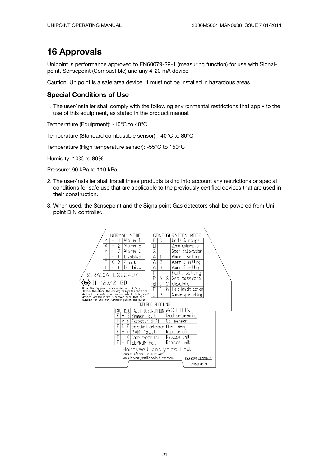### **16 Approvals**

Unipoint is performance approved to EN60079-29-1 (measuring function) for use with Signalpoint, Sensepoint (Combustible) and any 4-20 mA device.

Caution: Unipoint is a safe area device. It must not be installed in hazardous areas.

#### **Special Conditions of Use**

1. The user/installer shall comply with the following environmental restrictions that apply to the use of this equipment, as stated in the product manual.

Temperature (Equipment): -10°C to 40°C

Temperature (Standard combustible sensor): -40°C to 80°C

Temperature (High temperature sensor): -55°C to 150°C

Humidity: 10% to 90%

Pressure: 90 kPa to 110 kPa

- 2. The user/installer shall install these products taking into account any restrictions or special conditions for safe use that are applicable to the previously certified devices that are used in their construction.
- 3. When used, the Sensepoint and the Signalpoint Gas detectors shall be powered from Unipoint DIN controller.

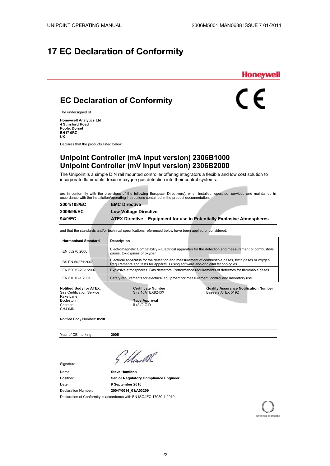### **17 EC Declaration of Conformity**



 $\epsilon$ 

### **EC Declaration of Conformity**

The undersigned of

**Honeywell Analytics Ltd 4 Stinsford Road Poole, Dorset BH17 0RZ UK**

Declares that the products listed below

### **Unipoint Controller (mA input version) 2306B1000 Unipoint Controller (mV input version) 2306B2000**

The Unipoint is a simple DIN rail mounted controller offering integrators a flexible and low cost solution to incorporate flammable, toxic or oxygen gas detection into their control systems.

are in conformity with the provisions of the following European Directive(s), when installed, operated, serviced and maintained in accordance with the installation/operating instructions contained in the product documentation:

| 2004/108/EC | <b>EMC Directive</b>                                                           |
|-------------|--------------------------------------------------------------------------------|
| 2006/95/EC  | <b>Low Voltage Directive</b>                                                   |
| 94/9/EC     | <b>ATEX Directive – Equipment for use in Potentially Explosive Atmospheres</b> |

and that the standards and/or technical specifications referenced below have been applied or considered:

| <b>Harmonised Standard</b> | <b>Description</b>                                                                                                                                                                     |
|----------------------------|----------------------------------------------------------------------------------------------------------------------------------------------------------------------------------------|
| EN 50270:2006              | Electromagnetic Compatibility – Electrical apparatus for the detection and measurement of combustible<br>gases, toxic gases or oxygen                                                  |
| BS EN 50271:2002           | Electrical apparatus for the detection and measurement of combustible gases, toxic gases or oxygen.<br>Requirements and tests for apparatus using software and/or digital technologies |
| EN 60079-29-1:2007         | Explosive atmospheres. Gas detectors. Performance requirements of detectors for flammable gases                                                                                        |
| EN 61010-1:2001            | Safety requirements for electrical equipment for measurement, control and laboratory use.                                                                                              |

Rake Lane<br>Eccleston Eccleston **Type Approval**<br>Chester **Type Approval Chester III** (2)/2 G D CH4 9JN

 $II$  (2)/2 G D

**Notified Body for ATEX: Certificate Number Quality Assurance Notification Number**  Sira Certification Service Sira 10ATEX8243X Baseefa ATEX 5192

Notified Body Number: **0518**

Year of CE marking: **2005** 

Signature:

Name: **Steve Hamilton** Position: **Senior Regulatory Compliance Engineer** Date: **9 September 2010** Declaration Number: **2004Y0014\_01/A03209** Declaration of Conformity in accordance with EN ISO/IEC 17050-1:2010

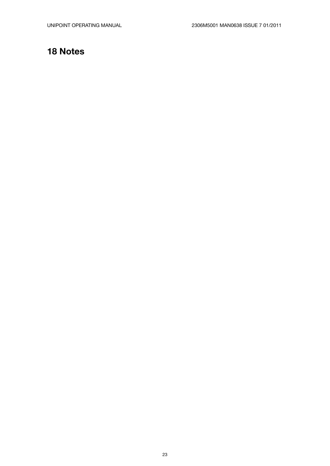### **18 Notes**